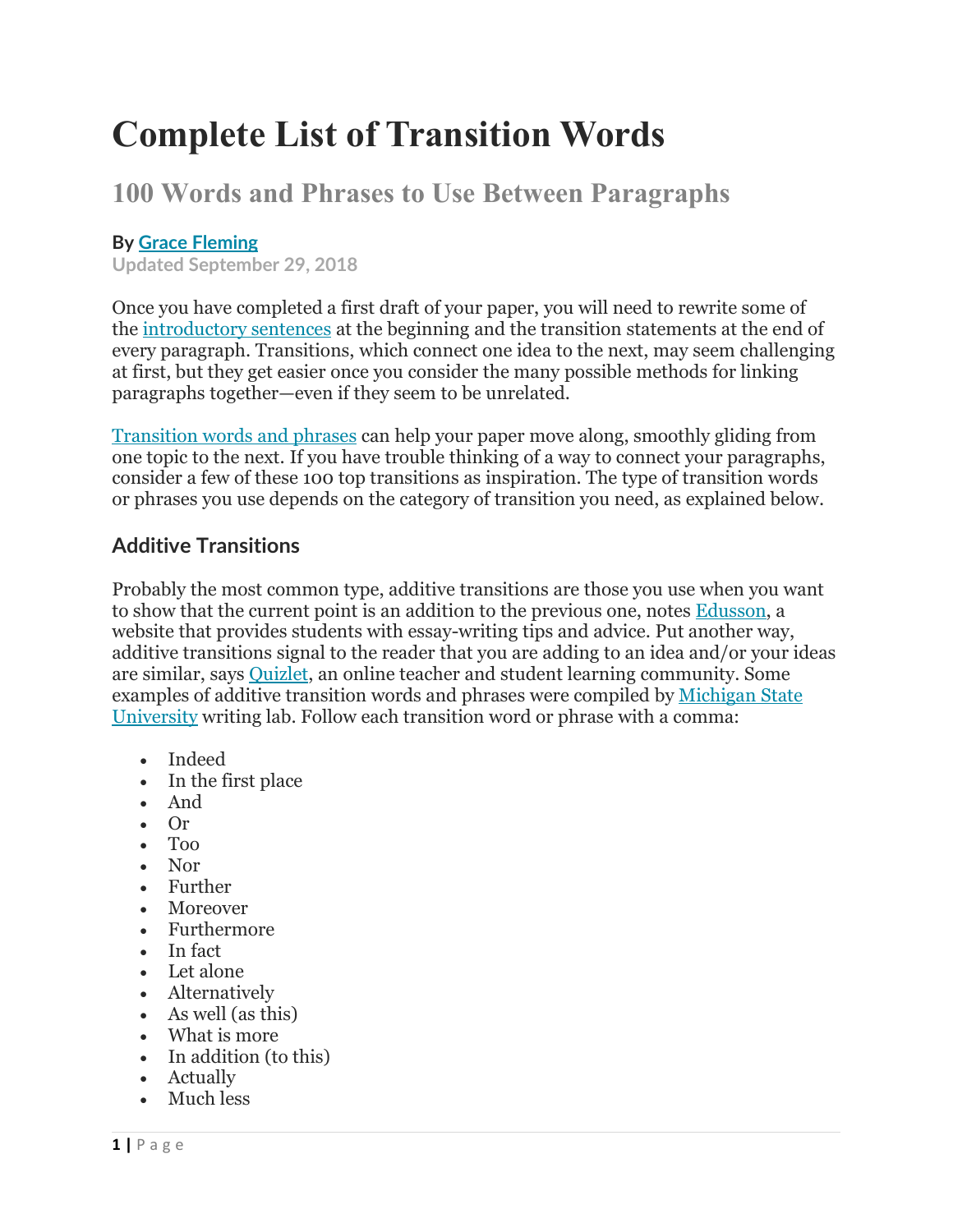# **Complete List of Transition Words**

# **100 Words and Phrases to Use Between Paragraphs**

### **By Grace [Fleming](https://www.thoughtco.com/grace-fleming-1856759)**

**Updated September 29, 2018**

Once you have completed a first draft of your paper, you will need to rewrite some of the [introductory](https://www.thoughtco.com/the-introductory-paragraph-1857260) sentences at the beginning and the transition statements at the end of every paragraph. Transitions, which connect one idea to the next, may seem challenging at first, but they get easier once you consider the many possible methods for linking paragraphs together—even if they seem to be unrelated.

[Transition](http://www.thoughtco.com/list-of-transition-words-1857002) words and phrases can help your paper move along, smoothly gliding from one topic to the next. If you have trouble thinking of a way to connectyour paragraphs, consider a few of these 100 top transitions as inspiration. The type of transition words or phrases you use depends on the category of transition you need, as explained below.

## **Additive Transitions**

Probably the most common type, additive transitions are those you usewhen you want to show that the current point is an addition to the previous one, notes [Edusson](https://edusson.com/blog/transition-words-for-essays), a website that provides students with essay-writing tips and advice. Put another way, additive transitions signal to the reader that you are adding to an idea and/or your ideas are similar, says [Quizlet](https://quizlet.com/96761582/transition-words-flash-cards/), an online teacher and student learning community. Some examples of additive transition words and phrases were compiled by [Michigan](https://msu.edu/~jdowell/135/transw.html) State University writing lab. Follow each transition word or phrase with a comma:

- Indeed
- In the first place
- And
- Or
- Too
- Nor
- Further
- Moreover
- Furthermore
- In fact
- Let alone
- Alternatively
- As well (as this)
- What is more
- In addition (to this)
- Actually
- Much less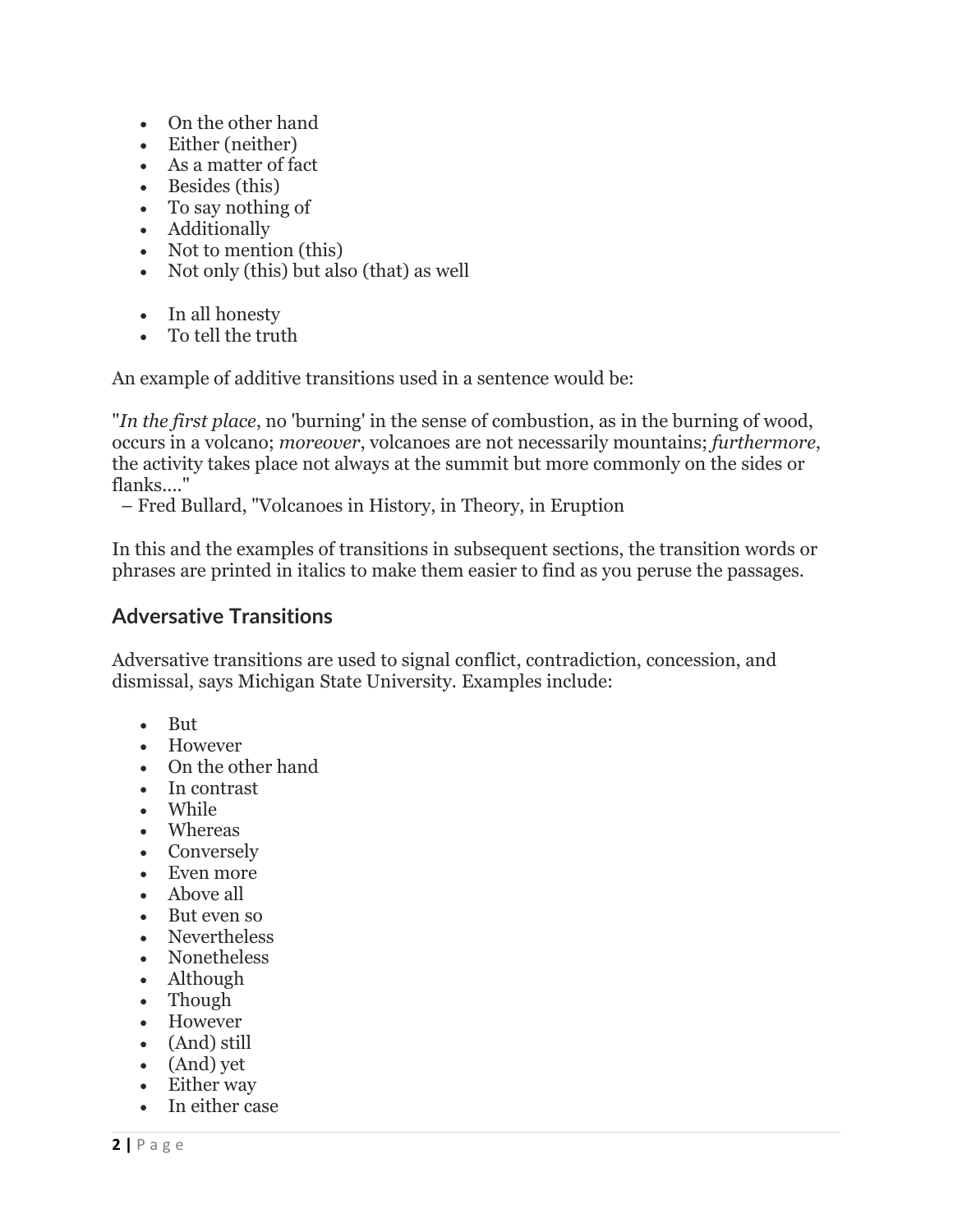- On the other hand
- Either (neither)
- As a matter of fact
- Besides (this)
- To say nothing of
- Additionally
- Not to mention (this)
- Not only (this) but also (that) as well
- In all honesty
- To tell the truth

An example of additive transitions used in a sentence would be:

"*In the first place*, no 'burning' in the sense of combustion, as in the burning of wood, occurs in a volcano; *moreover*, volcanoes are not necessarily mountains; *furthermore*, the activity takes place not always at the summit but more commonly on the sides or flanks...."

– Fred Bullard, "Volcanoes in History, in Theory, in Eruption

In this and the examples of transitions in subsequent sections, the transition words or phrases are printed in italics to make them easier to find as you peruse the passages.

#### **Adversative Transitions**

Adversative transitions are used to signal conflict, contradiction, concession, and dismissal, says Michigan State University. Examples include:

- But
- However
- On the other hand
- In contrast
- While
- Whereas
- Conversely
- Even more
- Above all
- But even so
- Nevertheless
- Nonetheless
- Although
- Though
- However
- (And) still
- (And) yet
- Either way
- In either case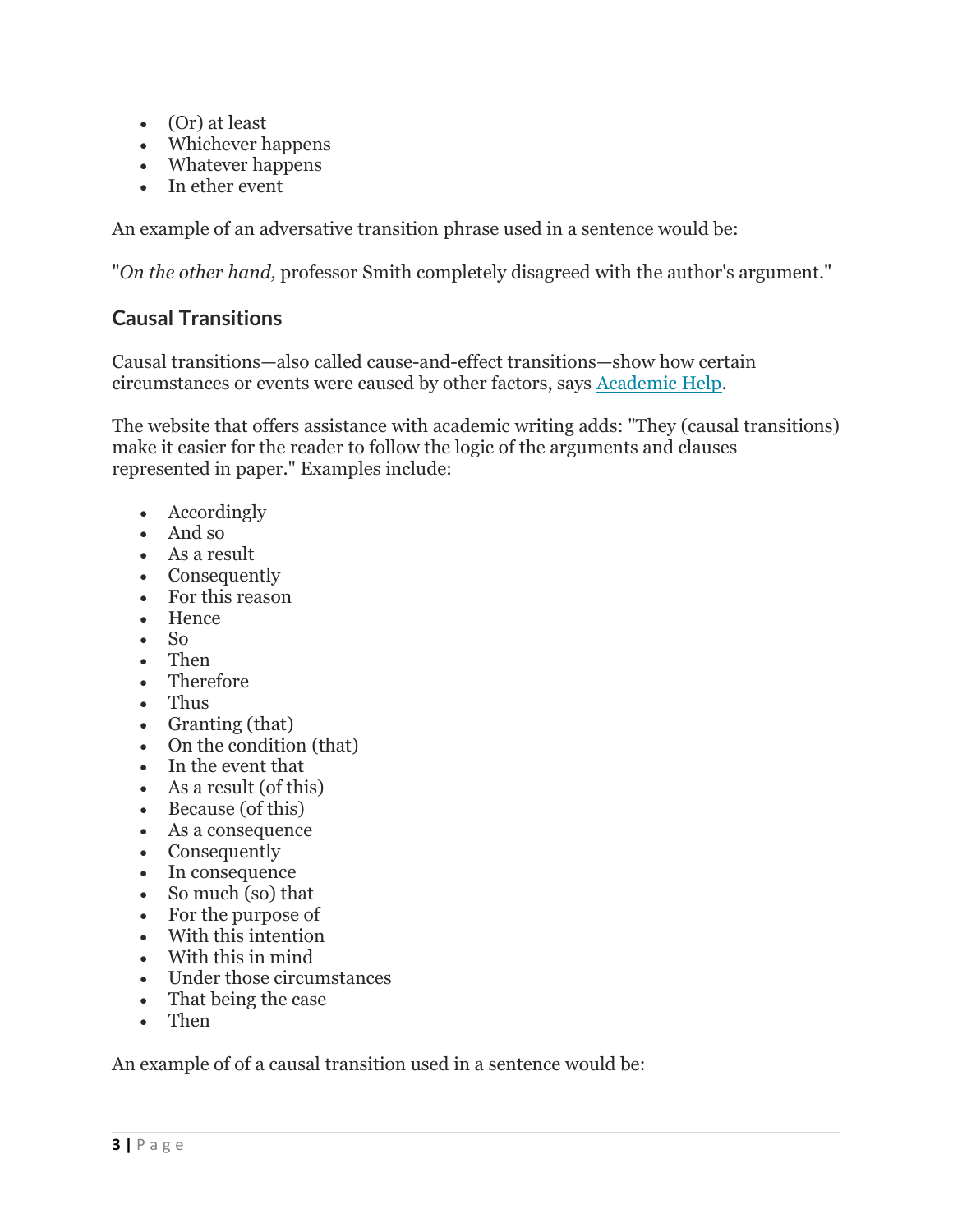- (Or) at least
- Whichever happens
- Whatever happens
- In ether event

An example of an adversative transition phrase used in a sentence would be:

"*On the other hand,* professor Smith completely disagreed with the author's argument."

# **Causal Transitions**

Causal transitions—also called cause-and-effect transitions—show how certain circumstances or events were caused by other factors, says [Academic](https://academichelp.net/general-writing-tips/essentials/common-transitions.html) Help.

The website that offers assistance with academic writing adds: "They (causal transitions) make it easier for the reader to follow the logic of the arguments and clauses represented in paper." Examples include:

- Accordingly
- And so
- As a result
- Consequently
- For this reason
- Hence
- $\bullet$  So
- Then
- Therefore
- Thus
- Granting (that)
- On the condition (that)
- $\bullet$  In the event that
- As a result (of this)
- Because (of this)
- As a consequence
- Consequently
- In consequence
- So much (so) that
- For the purpose of
- With this intention
- With this in mind
- Under those circumstances
- That being the case
- Then

An example of of a causal transition used in a sentence would be: